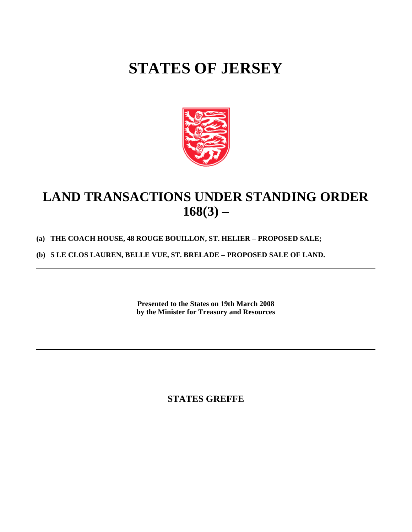# **STATES OF JERSEY**



## **LAND TRANSACTIONS UNDER STANDING ORDER 168(3) –**

### **(a) THE COACH HOUSE, 48 ROUGE BOUILLON, ST. HELIER – PROPOSED SALE;**

**(b) 5 LE CLOS LAUREN, BELLE VUE, ST. BRELADE – PROPOSED SALE OF LAND.**

**Presented to the States on 19th March 2008 by the Minister for Treasury and Resources**

**STATES GREFFE**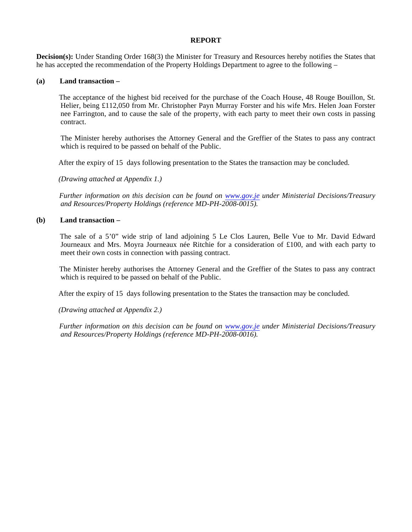#### **REPORT**

**Decision(s):** Under Standing Order 168(3) the Minister for Treasury and Resources hereby notifies the States that he has accepted the recommendation of the Property Holdings Department to agree to the following –

#### **(a) Land transaction –**

 The acceptance of the highest bid received for the purchase of the Coach House, 48 Rouge Bouillon, St. Helier, being £112,050 from Mr. Christopher Payn Murray Forster and his wife Mrs. Helen Joan Forster nee Farrington, and to cause the sale of the property, with each party to meet their own costs in passing contract.

The Minister hereby authorises the Attorney General and the Greffier of the States to pass any contract which is required to be passed on behalf of the Public.

After the expiry of 15 days following presentation to the States the transaction may be concluded.

 *(Drawing attached at Appendix 1.)*

 *Further information on this decision can be found on <www.gov.je>under Ministerial Decisions/Treasury and Resources/Property Holdings (reference MD-PH-2008-0015).*

#### **(b) Land transaction –**

 The sale of a 5'0" wide strip of land adjoining 5 Le Clos Lauren, Belle Vue to Mr. David Edward Journeaux and Mrs. Moyra Journeaux née Ritchie for a consideration of £100, and with each party to meet their own costs in connection with passing contract.

 The Minister hereby authorises the Attorney General and the Greffier of the States to pass any contract which is required to be passed on behalf of the Public.

After the expiry of 15 days following presentation to the States the transaction may be concluded.

 *(Drawing attached at Appendix 2.)*

 *Further information on this decision can be found on <www.gov.je>under Ministerial Decisions/Treasury and Resources/Property Holdings (reference MD-PH-2008-0016).*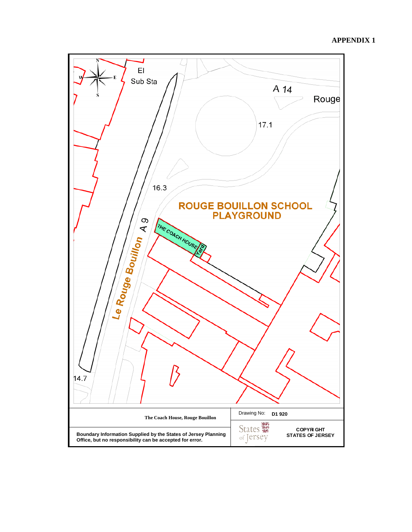